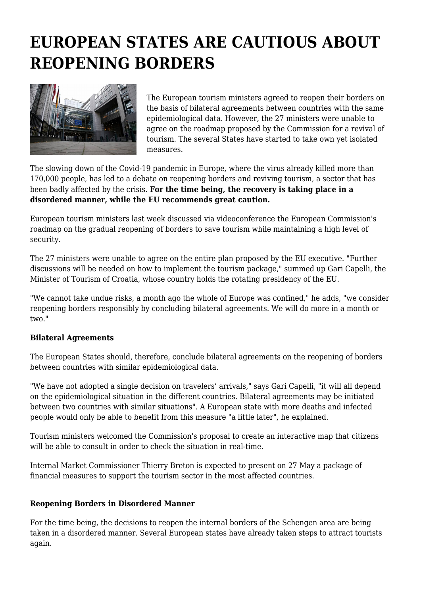## **EUROPEAN STATES ARE CAUTIOUS ABOUT REOPENING BORDERS**



The European tourism ministers agreed to reopen their borders on the basis of bilateral agreements between countries with the same epidemiological data. However, the 27 ministers were unable to agree on the roadmap proposed by the Commission for a revival of tourism. The several States have started to take own yet isolated measures.

The slowing down of the Covid-19 pandemic in Europe, where the virus already killed more than 170,000 people, has led to a debate on reopening borders and reviving tourism, a sector that has been badly affected by the crisis. **For the time being, the recovery is taking place in a disordered manner, while the EU recommends great caution.**

European tourism ministers last week discussed via videoconference the European Commission's roadmap on the gradual reopening of borders to save tourism while maintaining a high level of security.

The 27 ministers were unable to agree on the entire plan proposed by the EU executive. "Further discussions will be needed on how to implement the tourism package," summed up Gari Capelli, the Minister of Tourism of Croatia, whose country holds the rotating presidency of the EU.

"We cannot take undue risks, a month ago the whole of Europe was confined," he adds, "we consider reopening borders responsibly by concluding bilateral agreements. We will do more in a month or two."

## **Bilateral Agreements**

The European States should, therefore, conclude bilateral agreements on the reopening of borders between countries with similar epidemiological data.

"We have not adopted a single decision on travelers' arrivals," says Gari Capelli, "it will all depend on the epidemiological situation in the different countries. Bilateral agreements may be initiated between two countries with similar situations". A European state with more deaths and infected people would only be able to benefit from this measure "a little later", he explained.

Tourism ministers welcomed the Commission's proposal to create an interactive map that citizens will be able to consult in order to check the situation in real-time.

Internal Market Commissioner Thierry Breton is expected to present on 27 May a package of financial measures to support the tourism sector in the most affected countries.

## **Reopening Borders in Disordered Manner**

For the time being, the decisions to reopen the internal borders of the Schengen area are being taken in a disordered manner. Several European states have already taken steps to attract tourists again.